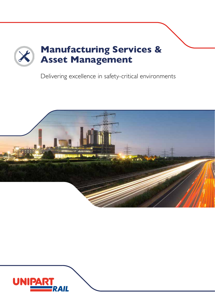

Delivering excellence in safety-critical environments



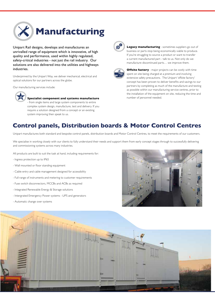

Unipart Rail designs, develops and manufactures an unrivalled range of equipment which is innovative, of high quality and performance, used within highly regulated, safety-critical industries - not just the rail industry. Our solutions are also delivered into the utilities and highways industries.

Underpinned by the Unipart Way, we deliver mechanical, electrical and optical solutions for our partners across the globe.

Our manufacturing services include:



**Specialist component and systems manufacture**

- from single items and large system components to entire complex system design, manufacture, test and delivery. If you require a solution designed from a concept or an existing system improving then speak to us.



**Legacy manufacturing** - sometimes suppliers go out of business or parts stop being economically viable to produce. If you're struggling to source a product or want to transfer a current manufactured part - talk to us. Not only do we manufacture discontinued parts… we improve them.



**Offsite factory** - major projects can be costly with time spent on site being charged at a premium and involving extensive safety precautions. The Unipart 'offsite factory' concept has been proven to deliver benefits and savings to our partners by completing as much of the manufacture and testing as possible within our manufacturing service centres, prior to the installation of the equipment on site, reducing the time and number of personnel needed.

### **Control panels, Distribution boards & Motor Control Centres**

Unipart manufactures both standard and bespoke control panels, distribution boards and Motor Control Centres, to meet the requirements of our customers.

We specialise in working closely with our clients to fully understand their needs and support them from early concept stages through to successfully delivering and commissioning systems across many industries.

All products are built to suit the task at hand, including requirements for:

- Ingress protection up to IP65
- Wall mounted or floor standing equipment
- Cable entry and cable management designed for accessibility
- Full range of instruments and metering to customer requirements
- Fuse switch disconnectors, MCCBs and ACBs as required
- Integrated Renewable Energy & Storage solutions
- Intergrated Emergency Power systems UPS and generators
- Automatic change over systems



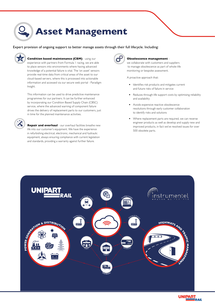# **Asset Management**

Expert provision of ongoing support to better manage assets through their full lifecycle. Including:



**Condition based maintenance (CBM)** - using our experience with partners from Formula 1 racing, we are able to place sensors into environments where having advanced knowledge of a potential failure is vital. The 'on asset' sensors provide real-time data from critical areas of the asset to our cloud-based servers, where this is processed into actionable information and accessed via our secure web portal - Paradigm Insight.

This information can be used to drive predictive maintenance programmes for our partners. It can be further enhanced by incorporating our Condition Based Supply Chain (CBSC) service, where the advanced warning of component failure drives the delivery of replacement parts to our customers, just in time for the planned maintenance activities.

**Repair and overhaul** - our overhaul facilities breathe new life into our customer's equipment. We have the experience in refurbishing electrical, electronic, mechanical and hydraulic equipment, always ensuring compliance with current legislation and standards, providing a warranty against further failure.



#### **Obsolescence management** -

we collaborate with customers and suppliers to manage obsolescence as part of whole-life monitoring or bespoke assessment.

A proactive approach that:

- **•** Identifies risk products and mitigates current and future risks of failure in service
- **•** Reduces through-life support costs by optimising reliability and availability
- **•** Avoids expensive reactive obsolescence resolutions through early customer collaboration to identify risks and solutions
- **•** Where replacement parts are required, we can reverse engineer products as well as develop and supply new and improved products, in fact we've resolved issues for over 500 obsolete parts.



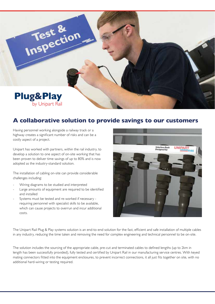

#### **A collaborative solution to provide savings to our customers**

Having personnel working alongside a railway track or a highway creates a significant number of risks and can be a costly aspect of a project.

Unipart has worked with partners, within the rail industry, to develop a solution to one aspect of on-site working that has been proven to deliver time savings of up to 80% and is now adopted as the industry-standard solution.

The installation of cabling on-site can provide considerable challenges including:

- Wiring diagrams to be studied and interpreted
- Large amounts of equipment are required to be identified and installed
- Systems must be tested and re-worked if necessary requiring personnel with specialist skills to be available, which can cause projects to overrun and incur additional costs.



The Unipart Rail Plug & Play systems solution is an end-to-end solution for the fast, efficient and safe installation of multiple cables in any industry, reducing the time taken and removing the need for complex engineering and technical personnel to be on-site.

The solution includes the sourcing of the appropriate cable, pre-cut and terminated cables to defined lengths (up to 2km in length has been successfully provided), fully tested and certified by Unipart Rail in our manufacturing service centres. With keyed mating connectors fitted into the equipment enclosures, to prevent incorrect connections, it all just fits together on site, with no additional hard-wiring or testing required.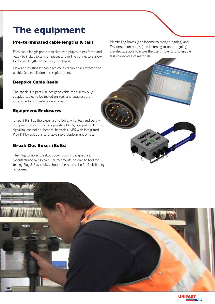# **The equipment**

#### **Pre-terminated cable lengths & tails**

Each cable length pre-cut to size with plugcouplers fitted and ready to install. Extension pieces and in-line connectors allow for longer lengths to be easily deployed.

New and existing kit can have coupled cable tails attached to enable fast installation and replacement.

#### **Bespoke Cable Reels**

The special Unipart Rail designed cable reels allow plugcoupled cables to be tested on-reel, and couplers are accessible for immediate deployment.

#### **Equipment Enclosures**

Unipart Rail has the expertise to build, wire, test and certify equipment enclosures incorporating PLC's, computers, CCTV, signalling control equipment, batteries, UPS with integrated Plug & Play solutions to enable rapid deployment on site.

#### **Break Out Boxes (BoBs**)

The Plug Coupler Breakout Box (BoB) is designed and manufactured by Unipart Rail to provide an on-site tool for testing Plug & Play cables, should the need arise for fault finding purposes.

Marshalling Boxes (one income to many outgoing) and Disconnection boxes (one incoming to one outgoing) are also available to make the site simpler and to enable fast change-out of materials.

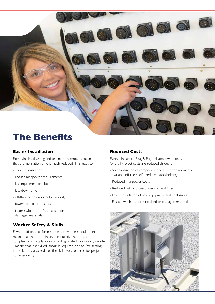

## **The Benefits**

#### **Easier Installation**

Removing hard-wiring and testing requirements means that the installation time is much reduced. This leads to:

- shorter possessions
- reduce manpower requirements
- less equipment on-site
- less down-time
- off-the-shelf component availability
- fewer control enclosures
- faster switch-out of vandalised or damaged materials

#### **Worker Safety & Skills**

Fewer staff on site, for less time and with less equipment means that the risk of injury is reduced. The reduced complexity of installations - including limited hard-wiring on site - means that less skilled labour is required on site. Pre-testing in the factory also reduces the skill levels required for project commissioning.

#### **Reduced Costs**

Everything about Plug & Play delivers lower costs. Overall Project costs are reduced through:

- Standardisation of component parts with replacements available off-the-shelf - reduced stockholding
- Reduced manpower costs
- Reduced risk of project over-run and fines
- Faster installation of new equipment and enclosures
- Faster switch-out of vandalised or damaged materials

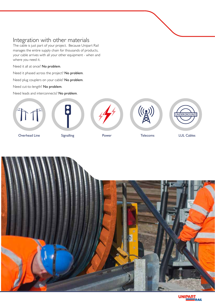### Integration with other materials

The cable is just part of your project. Because Unipart Rail manages the entire supply chain for thousands of products, your cable arrives with all your other equipment - when and where you need it.

Need it all at once? No problem.

Need it phased across the project? No problem.

Need plug couplers on your cable? No problem.

Need cut-to-length? No problem.

Need leads and interconnects? No problem.











**Called Contract Contract Contract Contract Contract Contract Contract Contract Contract Contract Contract Contract Contract Contract Contract Contract Contract Contract Contract Contract Contract Contract Contract Contrac**